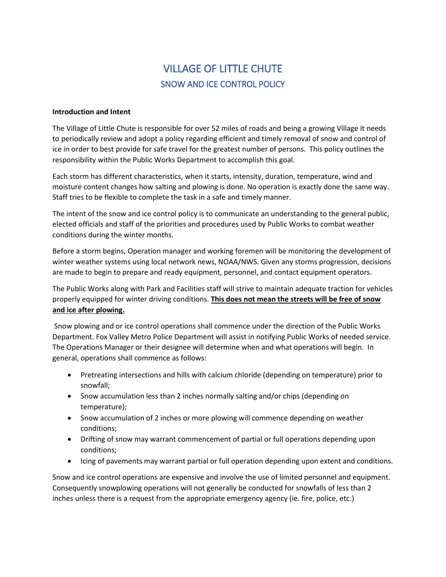# VILLAGE OF LITTLE CHUTE SNOW AND ICE CONTROL POLICY

# **Introduction and Intent**

The Village of Little Chute is responsible for over 52 miles of roads and being a growing Village it needs to periodically review and adopt a policy regarding efficient and timely removal of snow and control of ice in order to best provide for safe travel for the greatest number of persons. This policy outlines the responsibility within the Public Works Department to accomplish this goal.

Each storm has different characteristics, when it starts, intensity, duration, temperature, wind and moisture content changes how salting and plowing is done. No operation is exactly done the same way. Staff tries to be flexible to complete the task in a safe and timely manner.

The intent of the snow and ice control policy is to communicate an understanding to the general public, elected officials and staff of the priorities and procedures used by Public Works to combat weather conditions during the winter months.

Before a storm begins, Operation manager and working foremen will be monitoring the development of winter weather systems using local network news, NOAA/NWS. Given any storms progression, decisions are made to begin to prepare and ready equipment, personnel, and contact equipment operators.

The Public Works along with Park and Facilities staff will strive to maintain adequate traction for vehicles properly equipped for winter driving conditions. **This does not mean the streets will be free of snow and ice after plowing.**

Snow plowing and or ice control operations shall commence under the direction of the Public Works Department. Fox Valley Metro Police Department will assist in notifying Public Works of needed service. The Operations Manager or their designee will determine when and what operations will begin. In general, operations shall commence as follows:

- Pretreating intersections and hills with calcium chloride (depending on temperature) prior to snowfall;
- Snow accumulation less than 2 inches normally salting and/or chips (depending on temperature);
- Snow accumulation of 2 inches or more plowing will commence depending on weather conditions;
- Drifting of snow may warrant commencement of partial or full operations depending upon conditions;
- Icing of pavements may warrant partial or full operation depending upon extent and conditions.

Snow and ice control operations are expensive and involve the use of limited personnel and equipment. Consequently snowplowing operations will not generally be conducted for snowfalls of less than 2 inches unless there is a request from the appropriate emergency agency (ie. fire, police, etc.)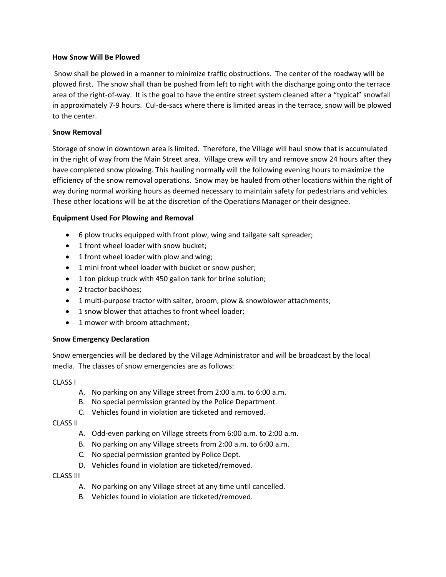# **How Snow Will Be Plowed**

Snow shall be plowed in a manner to minimize traffic obstructions. The center of the roadway will be plowed first. The snow shall than be pushed from left to right with the discharge going onto the terrace area of the right-of-way. It is the goal to have the entire street system cleaned after a "typical" snowfall in approximately 7-9 hours. Cul-de-sacs where there is limited areas in the terrace, snow will be plowed to the center.

# **Snow Removal**

Storage of snow in downtown area is limited. Therefore, the Village will haul snow that is accumulated in the right of way from the Main Street area. Village crew will try and remove snow 24 hours after they have completed snow plowing. This hauling normally will the following evening hours to maximize the efficiency of the snow removal operations. Snow may be hauled from other locations within the right of way during normal working hours as deemed necessary to maintain safety for pedestrians and vehicles. These other locations will be at the discretion of the Operations Manager or their designee.

# **Equipment Used For Plowing and Removal**

- 6 plow trucks equipped with front plow, wing and tailgate salt spreader;
- 1 front wheel loader with snow bucket;
- 1 front wheel loader with plow and wing;
- 1 mini front wheel loader with bucket or snow pusher;
- 1 ton pickup truck with 450 gallon tank for brine solution;
- 2 tractor backhoes:
- 1 multi-purpose tractor with salter, broom, plow & snowblower attachments;
- 1 snow blower that attaches to front wheel loader;
- 1 mower with broom attachment;

# **Snow Emergency Declaration**

Snow emergencies will be declared by the Village Administrator and will be broadcast by the local media. The classes of snow emergencies are as follows:

CLASS I

- A. No parking on any Village street from 2:00 a.m. to 6:00 a.m.
- B. No special permission granted by the Police Department.
- C. Vehicles found in violation are ticketed and removed.

CLASS II

- A. Odd-even parking on Village streets from 6:00 a.m. to 2:00 a.m.
- B. No parking on any Village streets from 2:00 a.m. to 6:00 a.m.
- C. No special permission granted by Police Dept.
- D. Vehicles found in violation are ticketed/removed.

#### CLASS III

- A. No parking on any Village street at any time until cancelled.
- B. Vehicles found in violation are ticketed/removed.